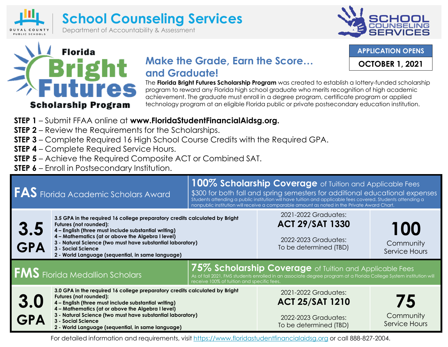



**APPLICATION OPENS**

**OCTOBER 1, 2021**



## **Make the Grade, Earn the Score… and Graduate!**

The **Florida Bright Futures Scholarship Program** was created to establish a lottery-funded scholarship program to reward any Florida high school graduate who merits recognition of high academic achievement. The graduate must enroll in a degree program, certificate program or applied technology program at an eligible Florida public or private postsecondary education institution.

- **STEP 1**  Submit FFAA online at **www.FloridaStudentFinancialAidsg.org.**
- **STEP 2** Review the Requirements for the Scholarships.
- **STEP 3**  Complete Required 16 High School Course Credits with the Required GPA.
- **STEP 4** Complete Required Service Hours.
- **STEP 5**  Achieve the Required Composite ACT or Combined SAT.
- **STEP 6**  Enroll in Postsecondary Institution.

| <b>FAS</b> Florida Academic Scholars Award |                                                                                                                                                                                                                                                                                                                                                             | 100% Scholarship Coverage of Tuition and Applicable Fees<br>\$300 for both fall and spring semesters for additional educational expenses<br>Students attending a public institution will have tuition and applicable fees covered. Students attending a<br>nonpublic institution will receive a comparable amount as noted in the Private Award Chart. |                                                                                                  |                                         |  |
|--------------------------------------------|-------------------------------------------------------------------------------------------------------------------------------------------------------------------------------------------------------------------------------------------------------------------------------------------------------------------------------------------------------------|--------------------------------------------------------------------------------------------------------------------------------------------------------------------------------------------------------------------------------------------------------------------------------------------------------------------------------------------------------|--------------------------------------------------------------------------------------------------|-----------------------------------------|--|
| 3.5<br>GPA                                 | 3.5 GPA in the required 16 college preparatory credits calculated by Bright<br>Futures (not rounded):<br>4 - English (three must include substantial writing)<br>4 - Mathematics (at or above the Algebra I level)<br>3 - Natural Science (two must have substantial laboratory)<br>3 - Social Science<br>2 - World Language (sequential, in same language) |                                                                                                                                                                                                                                                                                                                                                        | 2021-2022 Graduates:<br><b>ACT 29/SAT 1330</b><br>2022-2023 Graduates:<br>To be determined (TBD) | 100<br>Community<br>Service Hours       |  |
| <b>FMS</b> Florida Medallion Scholars      | 75% Scholarship Coverage of Tuition and Applicable Fees<br>As of fall 2021, FMS students enrolled in an associate degree program at a Florida College System institution will<br>receive 100% of tuition and specific fees.                                                                                                                                 |                                                                                                                                                                                                                                                                                                                                                        |                                                                                                  |                                         |  |
| 3.0<br><b>GPA</b>                          | 3.0 GPA in the required 16 college preparatory credits calculated by Bright<br>Futures (not rounded):<br>4 - English (three must include substantial writing)<br>4 - Mathematics (at or above the Algebra I level)<br>3 - Natural Science (two must have substantial laboratory)<br>3 - Social Science<br>2 - World Language (sequential, in same language) |                                                                                                                                                                                                                                                                                                                                                        | 2021-2022 Graduates:<br><b>ACT 25/SAT 1210</b><br>2022-2023 Graduates:<br>To be determined (TBD) | 75<br>Community<br><b>Service Hours</b> |  |

For detailed information and requirements, visit [https://www.floridastudentfinancialaidsg.org](https://www.floridastudentfinancialaidsg.org/) or call 888-827-2004.